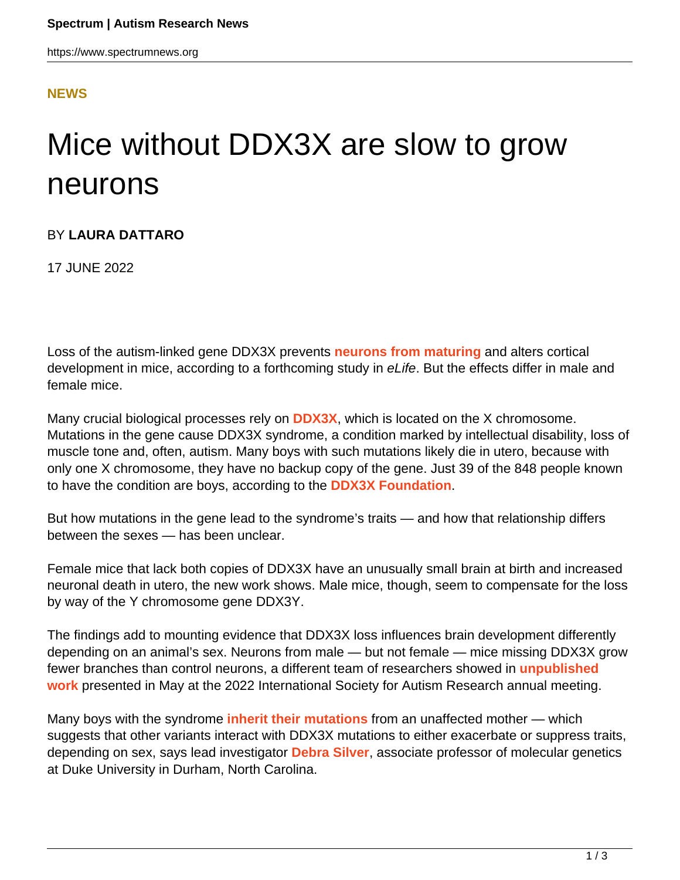## **[NEWS](HTTPS://WWW.SPECTRUMNEWS.ORG/NEWS/)**

## Mice without DDX3X are slow to grow neurons

## BY **LAURA DATTARO**

17 JUNE 2022

Loss of the autism-linked gene DDX3X prevents **[neurons from maturing](https://doi.org/10.7554/eLife.78203)** and alters cortical development in mice, according to a forthcoming study in eLife. But the effects differ in male and female mice.

Many crucial biological processes rely on **[DDX3X](https://gene.sfari.org/database/human-gene/DDX3X)**, which is located on the X chromosome. Mutations in the gene cause DDX3X syndrome, a condition marked by intellectual disability, loss of muscle tone and, often, autism. Many boys with such mutations likely die in utero, because with only one X chromosome, they have no backup copy of the gene. Just 39 of the 848 people known to have the condition are boys, according to the **[DDX3X Foundation](https://ddx3x.org/)**.

But how mutations in the gene lead to the syndrome's traits — and how that relationship differs between the sexes — has been unclear.

Female mice that lack both copies of DDX3X have an unusually small brain at birth and increased neuronal death in utero, the new work shows. Male mice, though, seem to compensate for the loss by way of the Y chromosome gene DDX3Y.

The findings add to mounting evidence that DDX3X loss influences brain development differently depending on an animal's sex. Neurons from male — but not female — mice missing DDX3X grow fewer branches than control neurons, a different team of researchers showed in **[unpublished](https://www.spectrumnews.org/news/ddx3x-loss-affects-male-female-mouse-neurons-differently/) [work](https://www.spectrumnews.org/news/ddx3x-loss-affects-male-female-mouse-neurons-differently/)** presented in May at the 2022 International Society for Autism Research annual meeting.

Many boys with the syndrome **[inherit their mutations](https://doi.org/10.1016%2Fj.ajhg.2015.07.004)** from an unaffected mother — which suggests that other variants interact with DDX3X mutations to either exacerbate or suppress traits, depending on sex, says lead investigator **[Debra Silver](https://sites.duke.edu/silverlab/)**, associate professor of molecular genetics at Duke University in Durham, North Carolina.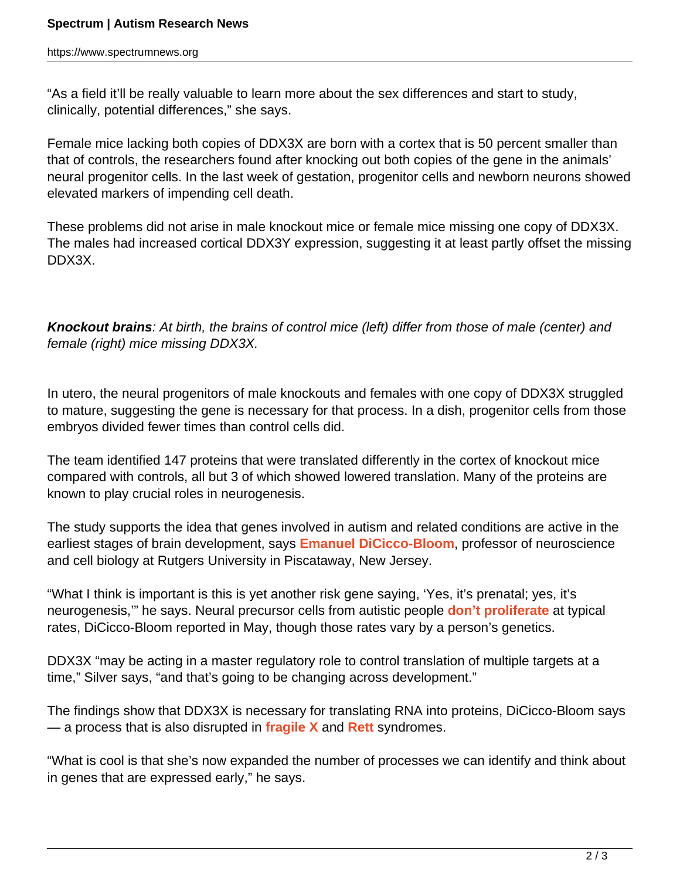"As a field it'll be really valuable to learn more about the sex differences and start to study, clinically, potential differences," she says.

Female mice lacking both copies of DDX3X are born with a cortex that is 50 percent smaller than that of controls, the researchers found after knocking out both copies of the gene in the animals' neural progenitor cells. In the last week of gestation, progenitor cells and newborn neurons showed elevated markers of impending cell death.

These problems did not arise in male knockout mice or female mice missing one copy of DDX3X. The males had increased cortical DDX3Y expression, suggesting it at least partly offset the missing DDX3X.

**Knockout brains**: At birth, the brains of control mice (left) differ from those of male (center) and female (right) mice missing DDX3X.

In utero, the neural progenitors of male knockouts and females with one copy of DDX3X struggled to mature, suggesting the gene is necessary for that process. In a dish, progenitor cells from those embryos divided fewer times than control cells did.

The team identified 147 proteins that were translated differently in the cortex of knockout mice compared with controls, all but 3 of which showed lowered translation. Many of the proteins are known to play crucial roles in neurogenesis.

The study supports the idea that genes involved in autism and related conditions are active in the earliest stages of brain development, says **[Emanuel DiCicco-Bloom](https://molbiosci.rutgers.edu/faculty-research/faculty/faculty-detail/80-c-d/262-dicicco-bloom-emanuel)**, professor of neuroscience and cell biology at Rutgers University in Piscataway, New Jersey.

"What I think is important is this is yet another risk gene saying, 'Yes, it's prenatal; yes, it's neurogenesis,'" he says. Neural precursor cells from autistic people **[don't proliferate](https://www.spectrumnews.org/news/different-forms-of-autism-have-opposite-problems-with-brain-precursor-cells/)** at typical rates, DiCicco-Bloom reported in May, though those rates vary by a person's genetics.

DDX3X "may be acting in a master regulatory role to control translation of multiple targets at a time," Silver says, "and that's going to be changing across development."

The findings show that DDX3X is necessary for translating RNA into proteins, DiCicco-Bloom says — a process that is also disrupted in **[fragile X](https://www.spectrumnews.org/news/fragile-x-syndromes-link-autism-explained/)** and **[Rett](https://www.spectrumnews.org/news/rett-syndromes-link-to-autism-explained)** syndromes.

"What is cool is that she's now expanded the number of processes we can identify and think about in genes that are expressed early," he says.